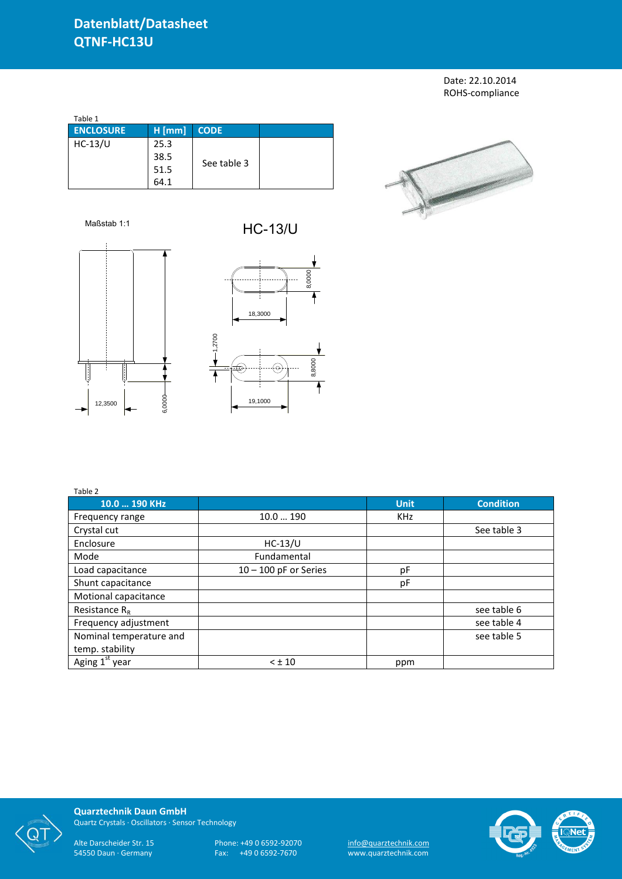## **Datenblatt/Datasheet QTNF-HC13U**

Date: 22.10.2014 ROHS-compliance

| Table 1          |          |             |  |  |  |  |  |
|------------------|----------|-------------|--|--|--|--|--|
| <b>ENCLOSURE</b> | $H$ [mm] | <b>CODE</b> |  |  |  |  |  |
| $HC-13/U$        | 25.3     |             |  |  |  |  |  |
|                  | 38.5     |             |  |  |  |  |  |
|                  | 51.5     | See table 3 |  |  |  |  |  |
|                  | 64.1     |             |  |  |  |  |  |
|                  |          |             |  |  |  |  |  |



Maßstab 1:1 HC-13/U





| Table 2                    |                         |             |                  |
|----------------------------|-------------------------|-------------|------------------|
| 10.0  190 KHz              |                         | <b>Unit</b> | <b>Condition</b> |
| Frequency range            | 10.0190                 | <b>KHz</b>  |                  |
| Crystal cut                |                         |             | See table 3      |
| Enclosure                  | $HC-13/U$               |             |                  |
| Mode                       | Fundamental             |             |                  |
| Load capacitance           | $10 - 100$ pF or Series | рF          |                  |
| Shunt capacitance          |                         | pF          |                  |
| Motional capacitance       |                         |             |                  |
| Resistance $R_R$           |                         |             | see table 6      |
| Frequency adjustment       |                         |             | see table 4      |
| Nominal temperature and    |                         |             | see table 5      |
| temp. stability            |                         |             |                  |
| Aging 1 <sup>st</sup> year | $< \pm 10$              | ppm         |                  |



**Quarztechnik Daun GmbH** Quartz Crystals · Oscillators · Sensor Technology

Alte Darscheider Str. 15 Phone: +49 0 6592-92070 <u>info@quarztechnik.com</u> 54550 Daun · Germany Fax: +49 0 6592-7670 www.quarztechnik.com